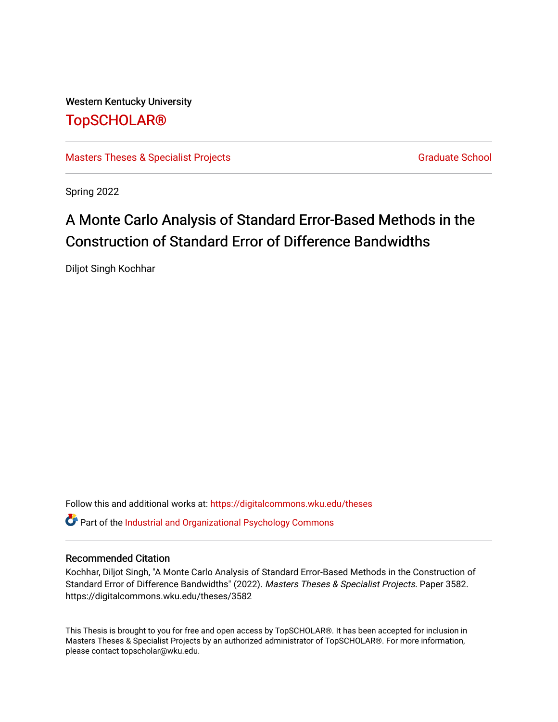Western Kentucky University [TopSCHOLAR®](https://digitalcommons.wku.edu/) 

[Masters Theses & Specialist Projects](https://digitalcommons.wku.edu/theses) [Graduate School](https://digitalcommons.wku.edu/Graduate) Graduate School

Spring 2022

# A Monte Carlo Analysis of Standard Error-Based Methods in the Construction of Standard Error of Difference Bandwidths

Diljot Singh Kochhar

Follow this and additional works at: [https://digitalcommons.wku.edu/theses](https://digitalcommons.wku.edu/theses?utm_source=digitalcommons.wku.edu%2Ftheses%2F3582&utm_medium=PDF&utm_campaign=PDFCoverPages) 

**C** Part of the Industrial and Organizational Psychology Commons

# Recommended Citation

Kochhar, Diljot Singh, "A Monte Carlo Analysis of Standard Error-Based Methods in the Construction of Standard Error of Difference Bandwidths" (2022). Masters Theses & Specialist Projects. Paper 3582. https://digitalcommons.wku.edu/theses/3582

This Thesis is brought to you for free and open access by TopSCHOLAR®. It has been accepted for inclusion in Masters Theses & Specialist Projects by an authorized administrator of TopSCHOLAR®. For more information, please contact topscholar@wku.edu.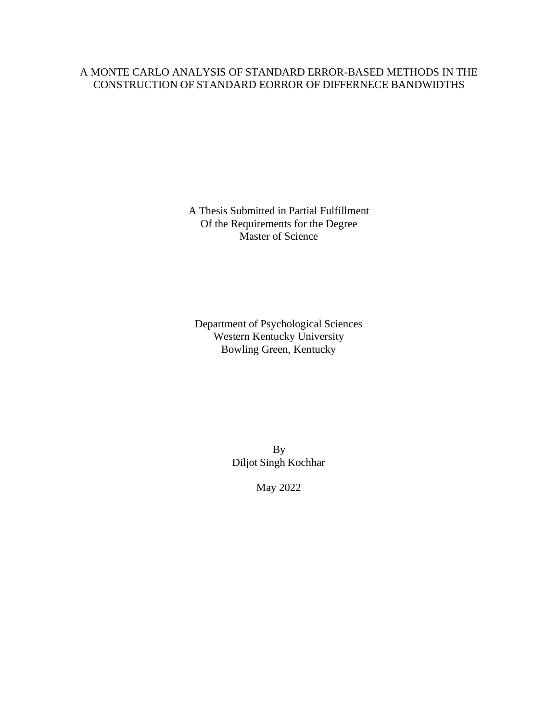# A MONTE CARLO ANALYSIS OF STANDARD ERROR-BASED METHODS IN THE CONSTRUCTION OF STANDARD EORROR OF DIFFERNECE BANDWIDTHS

A Thesis Submitted in Partial Fulfillment Of the Requirements for the Degree Master of Science

Department of Psychological Sciences Western Kentucky University Bowling Green, Kentucky

> By Diljot Singh Kochhar

> > May 2022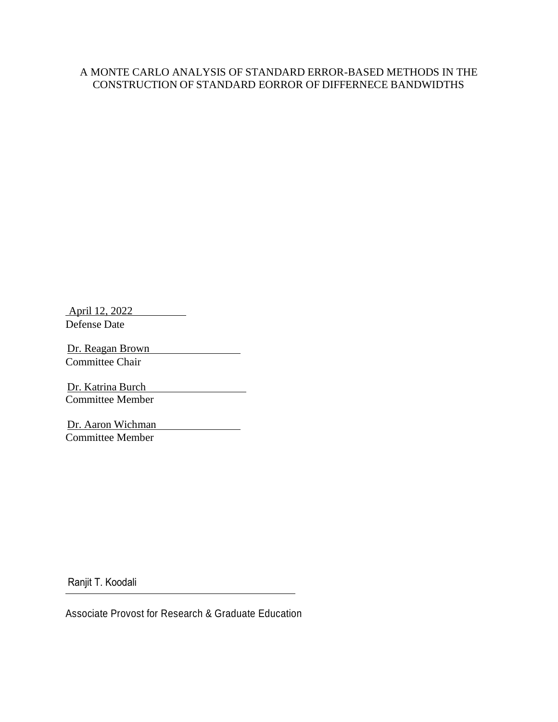# A MONTE CARLO ANALYSIS OF STANDARD ERROR-BASED METHODS IN THE CONSTRUCTION OF STANDARD EORROR OF DIFFERNECE BANDWIDTHS

April 12, 2022 Defense Date

Dr. Reagan Brown Committee Chair

Dr. Katrina Burch Committee Member

Dr. Aaron Wichman Committee Member

Ranjit T. Koodali

Associate Provost for Research & Graduate Education

 $\overline{\phantom{a}}$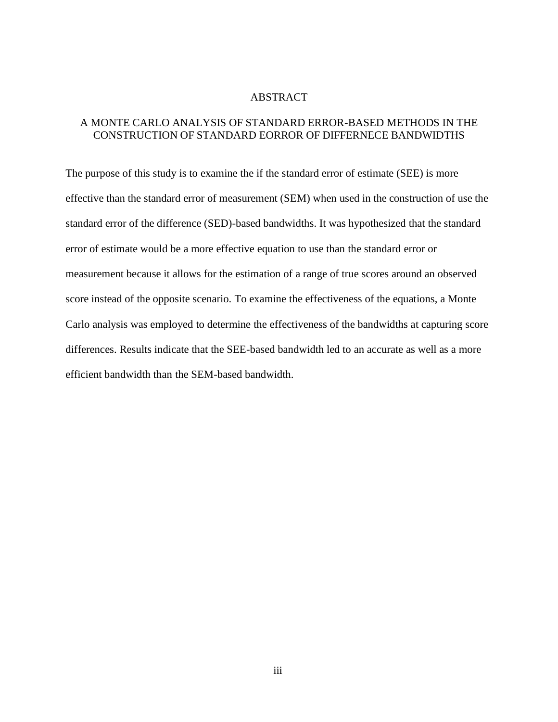#### ABSTRACT

# A MONTE CARLO ANALYSIS OF STANDARD ERROR-BASED METHODS IN THE CONSTRUCTION OF STANDARD EORROR OF DIFFERNECE BANDWIDTHS

The purpose of this study is to examine the if the standard error of estimate (SEE) is more effective than the standard error of measurement (SEM) when used in the construction of use the standard error of the difference (SED)-based bandwidths. It was hypothesized that the standard error of estimate would be a more effective equation to use than the standard error or measurement because it allows for the estimation of a range of true scores around an observed score instead of the opposite scenario. To examine the effectiveness of the equations, a Monte Carlo analysis was employed to determine the effectiveness of the bandwidths at capturing score differences. Results indicate that the SEE-based bandwidth led to an accurate as well as a more efficient bandwidth than the SEM-based bandwidth.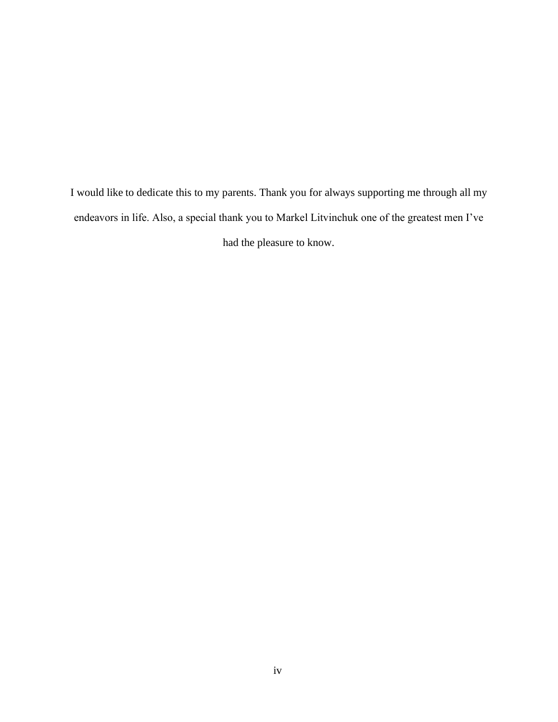I would like to dedicate this to my parents. Thank you for always supporting me through all my endeavors in life. Also, a special thank you to Markel Litvinchuk one of the greatest men I've had the pleasure to know.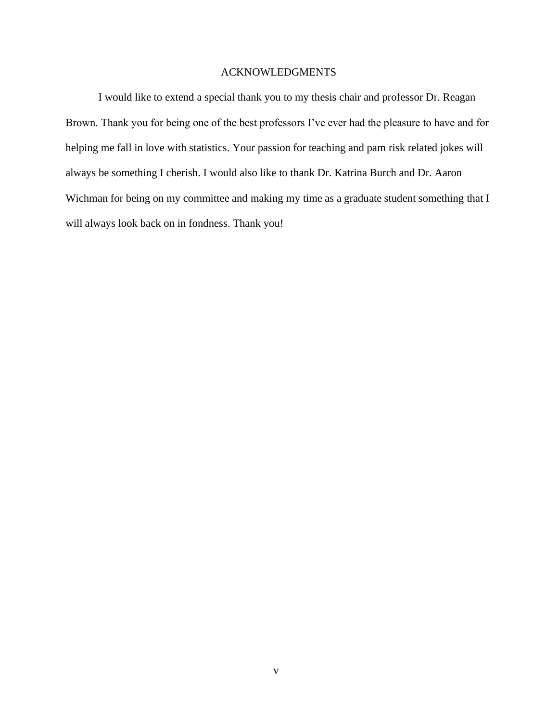## ACKNOWLEDGMENTS

I would like to extend a special thank you to my thesis chair and professor Dr. Reagan Brown. Thank you for being one of the best professors I've ever had the pleasure to have and for helping me fall in love with statistics. Your passion for teaching and pam risk related jokes will always be something I cherish. I would also like to thank Dr. Katrina Burch and Dr. Aaron Wichman for being on my committee and making my time as a graduate student something that I will always look back on in fondness. Thank you!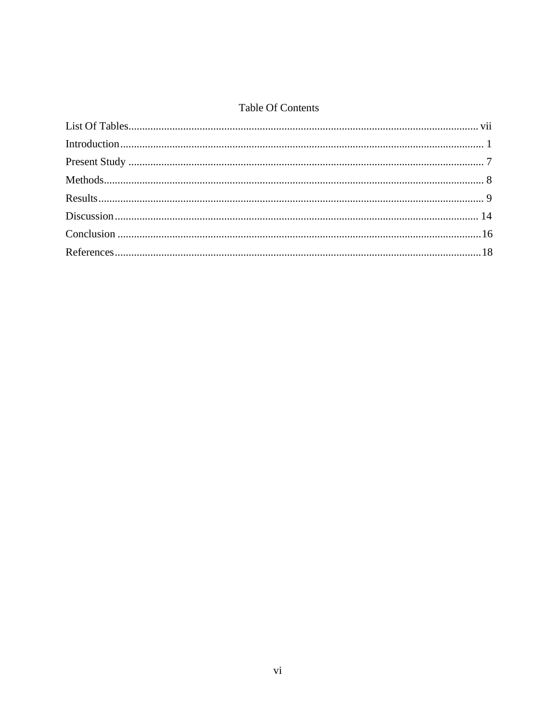# **Table Of Contents**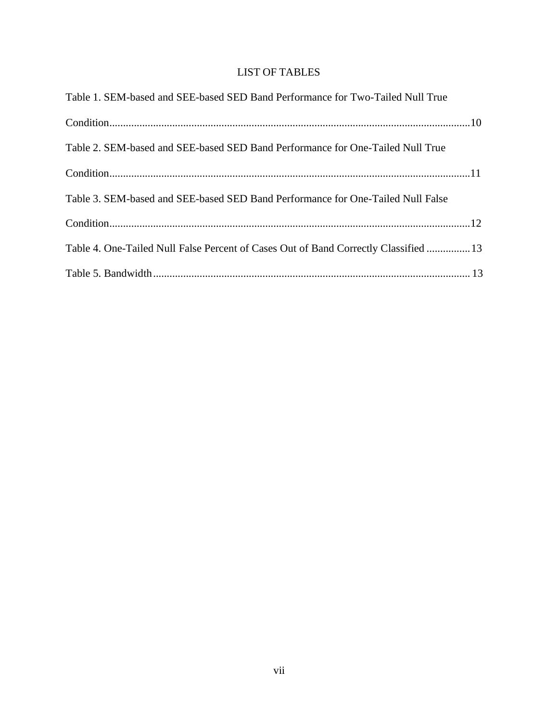# LIST OF TABLES

<span id="page-7-0"></span>

| Table 1. SEM-based and SEE-based SED Band Performance for Two-Tailed Null True       |  |
|--------------------------------------------------------------------------------------|--|
|                                                                                      |  |
| Table 2. SEM-based and SEE-based SED Band Performance for One-Tailed Null True       |  |
|                                                                                      |  |
| Table 3. SEM-based and SEE-based SED Band Performance for One-Tailed Null False      |  |
|                                                                                      |  |
| Table 4. One-Tailed Null False Percent of Cases Out of Band Correctly Classified  13 |  |
|                                                                                      |  |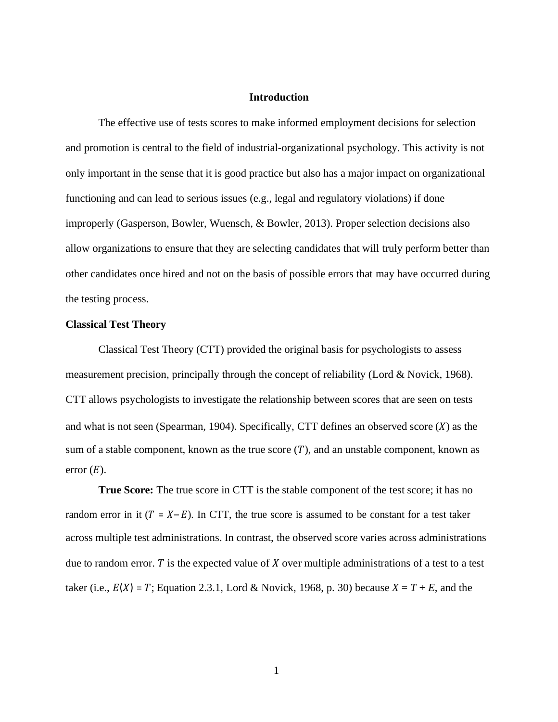#### **Introduction**

<span id="page-8-0"></span>The effective use of tests scores to make informed employment decisions for selection and promotion is central to the field of industrial-organizational psychology. This activity is not only important in the sense that it is good practice but also has a major impact on organizational functioning and can lead to serious issues (e.g., legal and regulatory violations) if done improperly (Gasperson, Bowler, Wuensch, & Bowler, 2013). Proper selection decisions also allow organizations to ensure that they are selecting candidates that will truly perform better than other candidates once hired and not on the basis of possible errors that may have occurred during the testing process.

#### **Classical Test Theory**

Classical Test Theory (CTT) provided the original basis for psychologists to assess measurement precision, principally through the concept of reliability (Lord & Novick, 1968). CTT allows psychologists to investigate the relationship between scores that are seen on tests and what is not seen (Spearman, 1904). Specifically, CTT defines an observed score  $(X)$  as the sum of a stable component, known as the true score  $(T)$ , and an unstable component, known as error  $(E)$ .

**True Score:** The true score in CTT is the stable component of the test score; it has no random error in it  $(T = X - E)$ . In CTT, the true score is assumed to be constant for a test taker across multiple test administrations. In contrast, the observed score varies across administrations due to random error. T is the expected value of  $X$  over multiple administrations of a test to a test taker (i.e.,  $E(X) = T$ ; Equation 2.3.1, Lord & Novick, 1968, p. 30) because  $X = T + E$ , and the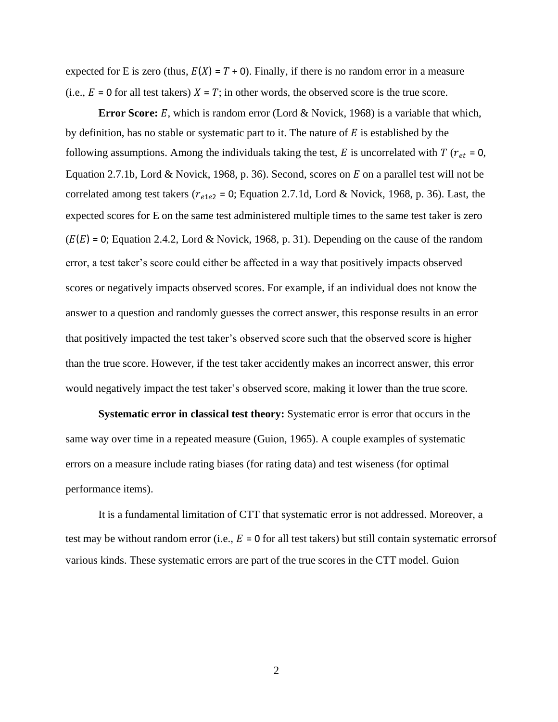expected for E is zero (thus,  $E(X) = T + 0$ ). Finally, if there is no random error in a measure (i.e.,  $E = 0$  for all test takers)  $X = T$ ; in other words, the observed score is the true score.

**Error Score:**  $E$ , which is random error (Lord  $\&$  Novick, 1968) is a variable that which, by definition, has no stable or systematic part to it. The nature of  $E$  is established by the following assumptions. Among the individuals taking the test,  $E$  is uncorrelated with  $T(r_{et} = 0,$ Equation 2.7.1b, Lord & Novick, 1968, p. 36). Second, scores on  $E$  on a parallel test will not be correlated among test takers ( $r_{e1e2}$  = 0; Equation 2.7.1d, Lord & Novick, 1968, p. 36). Last, the expected scores for E on the same test administered multiple times to the same test taker is zero  $(E(E) = 0;$  Equation 2.4.2, Lord & Novick, 1968, p. 31). Depending on the cause of the random error, a test taker's score could either be affected in a way that positively impacts observed scores or negatively impacts observed scores. For example, if an individual does not know the answer to a question and randomly guesses the correct answer, this response results in an error that positively impacted the test taker's observed score such that the observed score is higher than the true score. However, if the test taker accidently makes an incorrect answer, this error would negatively impact the test taker's observed score, making it lower than the true score.

**Systematic error in classical test theory:** Systematic error is error that occurs in the same way over time in a repeated measure (Guion, 1965). A couple examples of systematic errors on a measure include rating biases (for rating data) and test wiseness (for optimal performance items).

It is a fundamental limitation of CTT that systematic error is not addressed. Moreover, a test may be without random error (i.e.,  $E = 0$  for all test takers) but still contain systematic errors of various kinds. These systematic errors are part of the true scores in the CTT model. Guion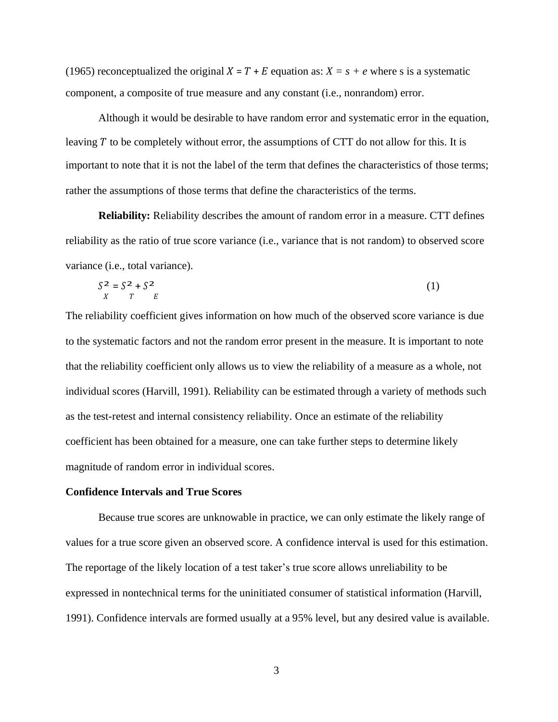(1965) reconceptualized the original  $X = T + E$  equation as:  $X = s + e$  where s is a systematic component, a composite of true measure and any constant (i.e., nonrandom) error.

Although it would be desirable to have random error and systematic error in the equation, leaving  $T$  to be completely without error, the assumptions of CTT do not allow for this. It is important to note that it is not the label of the term that defines the characteristics of those terms; rather the assumptions of those terms that define the characteristics of the terms.

**Reliability:** Reliability describes the amount of random error in a measure. CTT defines reliability as the ratio of true score variance (i.e., variance that is not random) to observed score variance (i.e., total variance).

$$
S^2 = S^2 + S^2
$$
  

$$
T^T = E
$$
 (1)

The reliability coefficient gives information on how much of the observed score variance is due to the systematic factors and not the random error present in the measure. It is important to note that the reliability coefficient only allows us to view the reliability of a measure as a whole, not individual scores (Harvill, 1991). Reliability can be estimated through a variety of methods such as the test-retest and internal consistency reliability. Once an estimate of the reliability coefficient has been obtained for a measure, one can take further steps to determine likely magnitude of random error in individual scores.

#### **Confidence Intervals and True Scores**

Because true scores are unknowable in practice, we can only estimate the likely range of values for a true score given an observed score. A confidence interval is used for this estimation. The reportage of the likely location of a test taker's true score allows unreliability to be expressed in nontechnical terms for the uninitiated consumer of statistical information (Harvill, 1991). Confidence intervals are formed usually at a 95% level, but any desired value is available.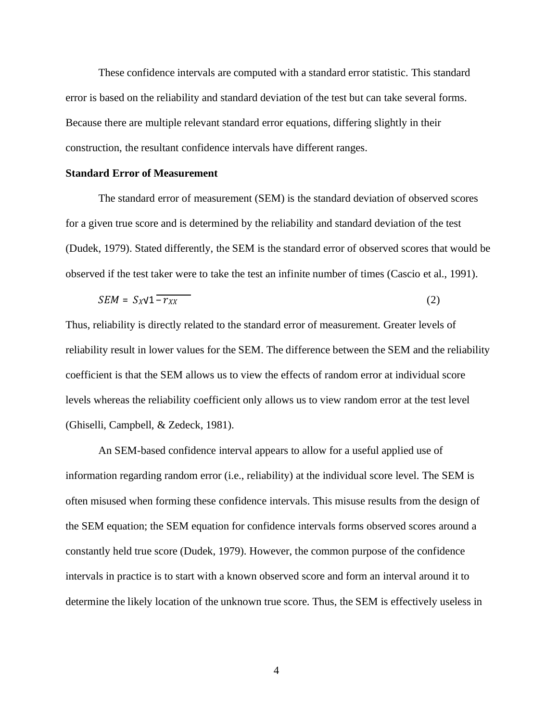These confidence intervals are computed with a standard error statistic. This standard error is based on the reliability and standard deviation of the test but can take several forms. Because there are multiple relevant standard error equations, differing slightly in their construction, the resultant confidence intervals have different ranges.

#### **Standard Error of Measurement**

The standard error of measurement (SEM) is the standard deviation of observed scores for a given true score and is determined by the reliability and standard deviation of the test (Dudek, 1979). Stated differently, the SEM is the standard error of observed scores that would be observed if the test taker were to take the test an infinite number of times (Cascio et al., 1991).

$$
SEM = S_X \sqrt{1 - r_{XX}} \tag{2}
$$

Thus, reliability is directly related to the standard error of measurement. Greater levels of reliability result in lower values for the SEM. The difference between the SEM and the reliability coefficient is that the SEM allows us to view the effects of random error at individual score levels whereas the reliability coefficient only allows us to view random error at the test level (Ghiselli, Campbell, & Zedeck, 1981).

An SEM-based confidence interval appears to allow for a useful applied use of information regarding random error (i.e., reliability) at the individual score level. The SEM is often misused when forming these confidence intervals. This misuse results from the design of the SEM equation; the SEM equation for confidence intervals forms observed scores around a constantly held true score (Dudek, 1979). However, the common purpose of the confidence intervals in practice is to start with a known observed score and form an interval around it to determine the likely location of the unknown true score. Thus, the SEM is effectively useless in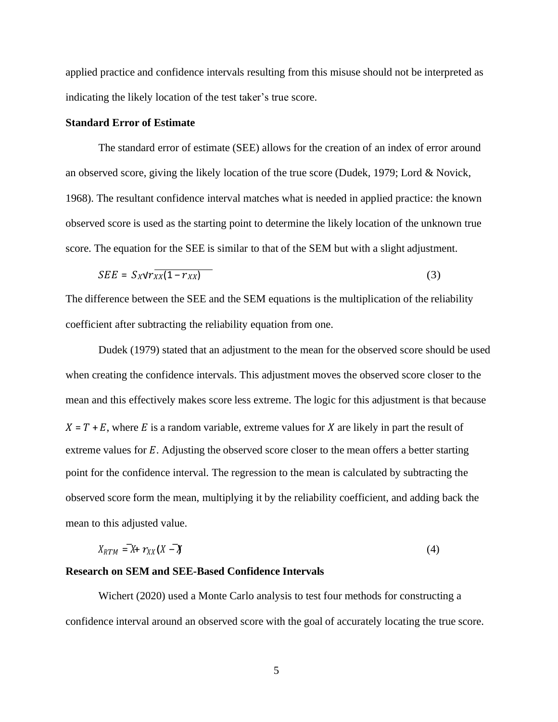applied practice and confidence intervals resulting from this misuse should not be interpreted as indicating the likely location of the test taker's true score.

#### **Standard Error of Estimate**

The standard error of estimate (SEE) allows for the creation of an index of error around an observed score, giving the likely location of the true score (Dudek, 1979; Lord & Novick, 1968). The resultant confidence interval matches what is needed in applied practice: the known observed score is used as the starting point to determine the likely location of the unknown true score. The equation for the SEE is similar to that of the SEM but with a slight adjustment.

$$
SEE = S_X \sqrt{r_{XX}(1 - r_{XX})} \tag{3}
$$

The difference between the SEE and the SEM equations is the multiplication of the reliability coefficient after subtracting the reliability equation from one.

Dudek (1979) stated that an adjustment to the mean for the observed score should be used when creating the confidence intervals. This adjustment moves the observed score closer to the mean and this effectively makes score less extreme. The logic for this adjustment is that because  $X = T + E$ , where E is a random variable, extreme values for X are likely in part the result of extreme values for  $E$ . Adjusting the observed score closer to the mean offers a better starting point for the confidence interval. The regression to the mean is calculated by subtracting the observed score form the mean, multiplying it by the reliability coefficient, and adding back the mean to this adjusted value.

$$
X_{RTM} = X + \gamma_{XX}(X - X) \tag{4}
$$

# **Research on SEM and SEE-Based Confidence Intervals**

Wichert (2020) used a Monte Carlo analysis to test four methods for constructing a confidence interval around an observed score with the goal of accurately locating the true score.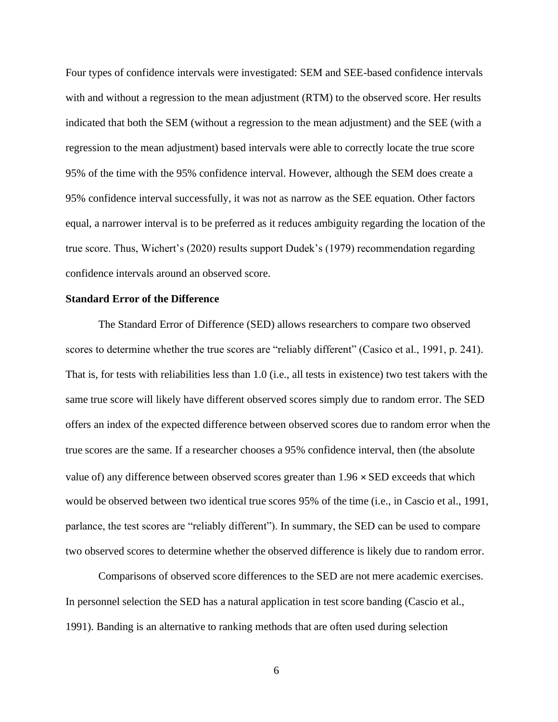Four types of confidence intervals were investigated: SEM and SEE-based confidence intervals with and without a regression to the mean adjustment (RTM) to the observed score. Her results indicated that both the SEM (without a regression to the mean adjustment) and the SEE (with a regression to the mean adjustment) based intervals were able to correctly locate the true score 95% of the time with the 95% confidence interval. However, although the SEM does create a 95% confidence interval successfully, it was not as narrow as the SEE equation. Other factors equal, a narrower interval is to be preferred as it reduces ambiguity regarding the location of the true score. Thus, Wichert's (2020) results support Dudek's (1979) recommendation regarding confidence intervals around an observed score.

#### **Standard Error of the Difference**

The Standard Error of Difference (SED) allows researchers to compare two observed scores to determine whether the true scores are "reliably different" (Casico et al., 1991, p. 241). That is, for tests with reliabilities less than 1.0 (i.e., all tests in existence) two test takers with the same true score will likely have different observed scores simply due to random error. The SED offers an index of the expected difference between observed scores due to random error when the true scores are the same. If a researcher chooses a 95% confidence interval, then (the absolute value of) any difference between observed scores greater than  $1.96 \times$  SED exceeds that which would be observed between two identical true scores 95% of the time (i.e., in Cascio et al., 1991, parlance, the test scores are "reliably different"). In summary, the SED can be used to compare two observed scores to determine whether the observed difference is likely due to random error.

Comparisons of observed score differences to the SED are not mere academic exercises. In personnel selection the SED has a natural application in test score banding (Cascio et al., 1991). Banding is an alternative to ranking methods that are often used during selection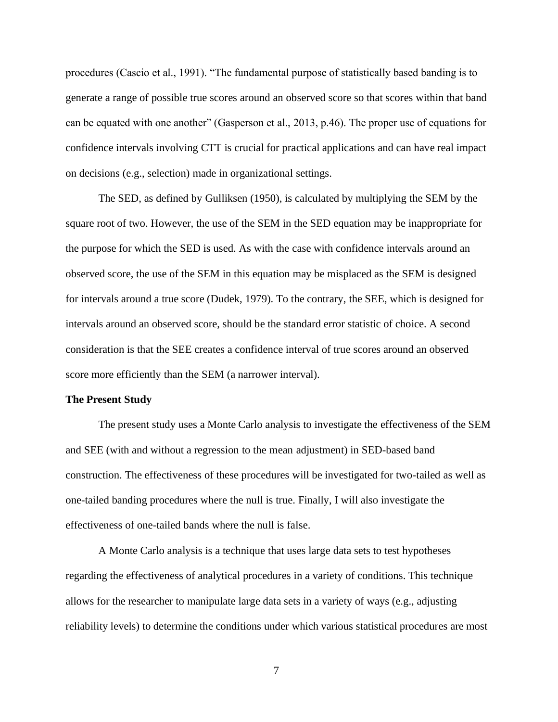procedures (Cascio et al., 1991). "The fundamental purpose of statistically based banding is to generate a range of possible true scores around an observed score so that scores within that band can be equated with one another" (Gasperson et al., 2013, p.46). The proper use of equations for confidence intervals involving CTT is crucial for practical applications and can have real impact on decisions (e.g., selection) made in organizational settings.

The SED, as defined by Gulliksen (1950), is calculated by multiplying the SEM by the square root of two. However, the use of the SEM in the SED equation may be inappropriate for the purpose for which the SED is used. As with the case with confidence intervals around an observed score, the use of the SEM in this equation may be misplaced as the SEM is designed for intervals around a true score (Dudek, 1979). To the contrary, the SEE, which is designed for intervals around an observed score, should be the standard error statistic of choice. A second consideration is that the SEE creates a confidence interval of true scores around an observed score more efficiently than the SEM (a narrower interval).

#### <span id="page-14-0"></span>**The Present Study**

The present study uses a Monte Carlo analysis to investigate the effectiveness of the SEM and SEE (with and without a regression to the mean adjustment) in SED-based band construction. The effectiveness of these procedures will be investigated for two-tailed as well as one-tailed banding procedures where the null is true. Finally, I will also investigate the effectiveness of one-tailed bands where the null is false.

A Monte Carlo analysis is a technique that uses large data sets to test hypotheses regarding the effectiveness of analytical procedures in a variety of conditions. This technique allows for the researcher to manipulate large data sets in a variety of ways (e.g., adjusting reliability levels) to determine the conditions under which various statistical procedures are most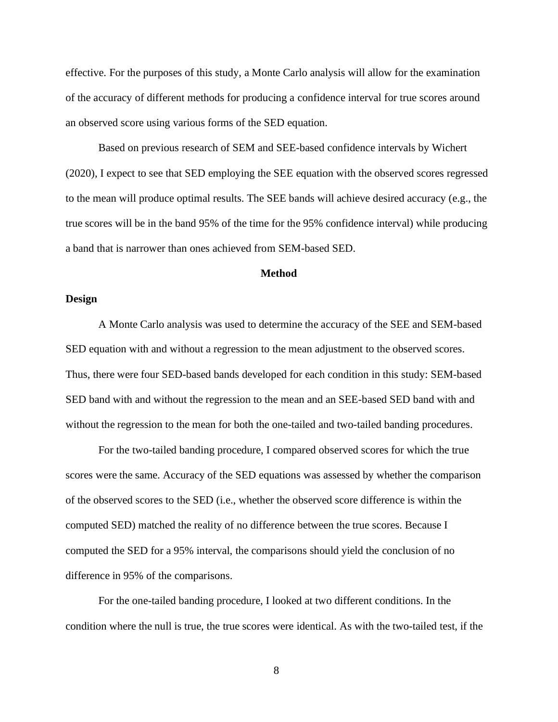effective. For the purposes of this study, a Monte Carlo analysis will allow for the examination of the accuracy of different methods for producing a confidence interval for true scores around an observed score using various forms of the SED equation.

Based on previous research of SEM and SEE-based confidence intervals by Wichert (2020), I expect to see that SED employing the SEE equation with the observed scores regressed to the mean will produce optimal results. The SEE bands will achieve desired accuracy (e.g., the true scores will be in the band 95% of the time for the 95% confidence interval) while producing a band that is narrower than ones achieved from SEM-based SED.

#### **Method**

#### <span id="page-15-0"></span>**Design**

A Monte Carlo analysis was used to determine the accuracy of the SEE and SEM-based SED equation with and without a regression to the mean adjustment to the observed scores. Thus, there were four SED-based bands developed for each condition in this study: SEM-based SED band with and without the regression to the mean and an SEE-based SED band with and without the regression to the mean for both the one-tailed and two-tailed banding procedures.

For the two-tailed banding procedure, I compared observed scores for which the true scores were the same. Accuracy of the SED equations was assessed by whether the comparison of the observed scores to the SED (i.e., whether the observed score difference is within the computed SED) matched the reality of no difference between the true scores. Because I computed the SED for a 95% interval, the comparisons should yield the conclusion of no difference in 95% of the comparisons.

For the one-tailed banding procedure, I looked at two different conditions. In the condition where the null is true, the true scores were identical. As with the two-tailed test, if the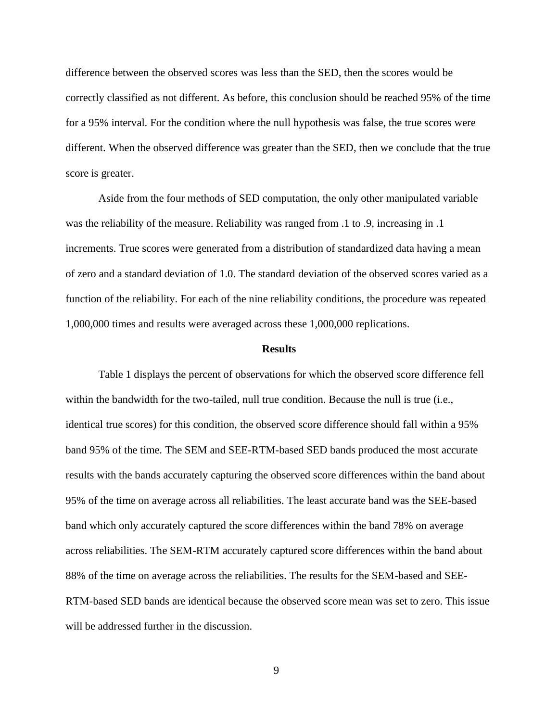difference between the observed scores was less than the SED, then the scores would be correctly classified as not different. As before, this conclusion should be reached 95% of the time for a 95% interval. For the condition where the null hypothesis was false, the true scores were different. When the observed difference was greater than the SED, then we conclude that the true score is greater.

Aside from the four methods of SED computation, the only other manipulated variable was the reliability of the measure. Reliability was ranged from .1 to .9, increasing in .1 increments. True scores were generated from a distribution of standardized data having a mean of zero and a standard deviation of 1.0. The standard deviation of the observed scores varied as a function of the reliability. For each of the nine reliability conditions, the procedure was repeated 1,000,000 times and results were averaged across these 1,000,000 replications.

#### **Results**

<span id="page-16-0"></span>Table 1 displays the percent of observations for which the observed score difference fell within the bandwidth for the two-tailed, null true condition. Because the null is true (i.e., identical true scores) for this condition, the observed score difference should fall within a 95% band 95% of the time. The SEM and SEE-RTM-based SED bands produced the most accurate results with the bands accurately capturing the observed score differences within the band about 95% of the time on average across all reliabilities. The least accurate band was the SEE-based band which only accurately captured the score differences within the band 78% on average across reliabilities. The SEM-RTM accurately captured score differences within the band about 88% of the time on average across the reliabilities. The results for the SEM-based and SEE-RTM-based SED bands are identical because the observed score mean was set to zero. This issue will be addressed further in the discussion.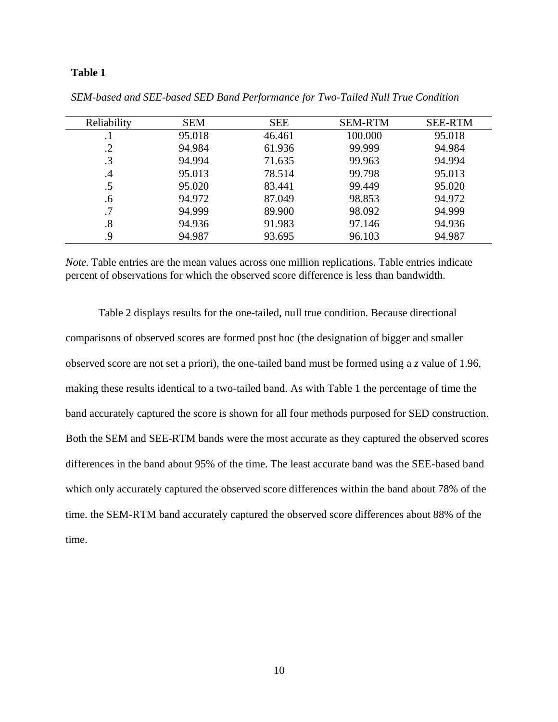| Reliability       | <b>SEM</b> | <b>SEE</b> | <b>SEM-RTM</b> | <b>SEE-RTM</b> |
|-------------------|------------|------------|----------------|----------------|
| . 1               | 95.018     | 46.461     | 100.000        | 95.018         |
| .2                | 94.984     | 61.936     | 99.999         | 94.984         |
| $\cdot$ 3         | 94.994     | 71.635     | 99.963         | 94.994         |
| .4                | 95.013     | 78.514     | 99.798         | 95.013         |
| $.5\,$            | 95.020     | 83.441     | 99.449         | 95.020         |
| .6                | 94.972     | 87.049     | 98.853         | 94.972         |
| .7                | 94.999     | 89.900     | 98.092         | 94.999         |
| $\boldsymbol{.8}$ | 94.936     | 91.983     | 97.146         | 94.936         |
| .9                | 94.987     | 93.695     | 96.103         | 94.987         |

*SEM-based and SEE-based SED Band Performance for Two-Tailed Null True Condition*

*Note.* Table entries are the mean values across one million replications. Table entries indicate percent of observations for which the observed score difference is less than bandwidth.

Table 2 displays results for the one-tailed, null true condition. Because directional comparisons of observed scores are formed post hoc (the designation of bigger and smaller observed score are not set a priori), the one-tailed band must be formed using a *z* value of 1.96, making these results identical to a two-tailed band. As with Table 1 the percentage of time the band accurately captured the score is shown for all four methods purposed for SED construction. Both the SEM and SEE-RTM bands were the most accurate as they captured the observed scores differences in the band about 95% of the time. The least accurate band was the SEE-based band which only accurately captured the observed score differences within the band about 78% of the time. the SEM-RTM band accurately captured the observed score differences about 88% of the time.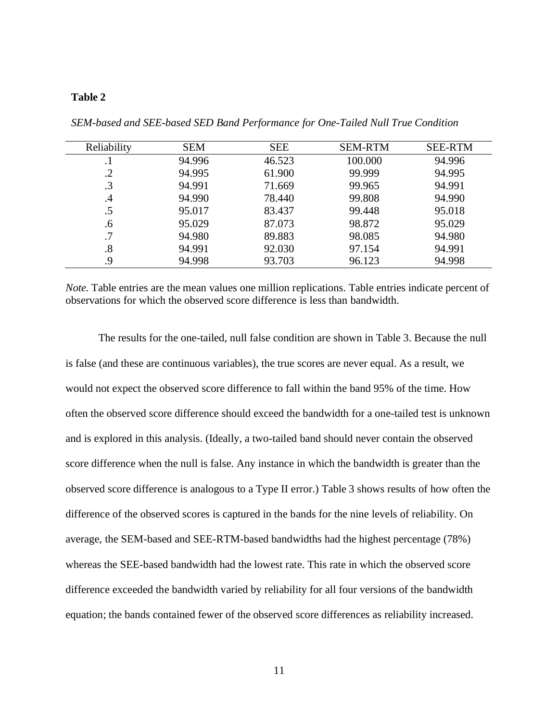| Reliability | <b>SEM</b> | <b>SEE</b> | <b>SEM-RTM</b> | <b>SEE-RTM</b> |
|-------------|------------|------------|----------------|----------------|
| . 1         | 94.996     | 46.523     | 100.000        | 94.996         |
| $\cdot$ .2  | 94.995     | 61.900     | 99.999         | 94.995         |
| $\cdot$ 3   | 94.991     | 71.669     | 99.965         | 94.991         |
| .4          | 94.990     | 78.440     | 99.808         | 94.990         |
| .5          | 95.017     | 83.437     | 99.448         | 95.018         |
| $.6\,$      | 95.029     | 87.073     | 98.872         | 95.029         |
| .7          | 94.980     | 89.883     | 98.085         | 94.980         |
| .8          | 94.991     | 92.030     | 97.154         | 94.991         |
| .9          | 94.998     | 93.703     | 96.123         | 94.998         |

*SEM-based and SEE-based SED Band Performance for One-Tailed Null True Condition*

*Note.* Table entries are the mean values one million replications. Table entries indicate percent of observations for which the observed score difference is less than bandwidth.

The results for the one-tailed, null false condition are shown in Table 3. Because the null is false (and these are continuous variables), the true scores are never equal. As a result, we would not expect the observed score difference to fall within the band 95% of the time. How often the observed score difference should exceed the bandwidth for a one-tailed test is unknown and is explored in this analysis. (Ideally, a two-tailed band should never contain the observed score difference when the null is false. Any instance in which the bandwidth is greater than the observed score difference is analogous to a Type II error.) Table 3 shows results of how often the difference of the observed scores is captured in the bands for the nine levels of reliability. On average, the SEM-based and SEE-RTM-based bandwidths had the highest percentage (78%) whereas the SEE-based bandwidth had the lowest rate. This rate in which the observed score difference exceeded the bandwidth varied by reliability for all four versions of the bandwidth equation; the bands contained fewer of the observed score differences as reliability increased.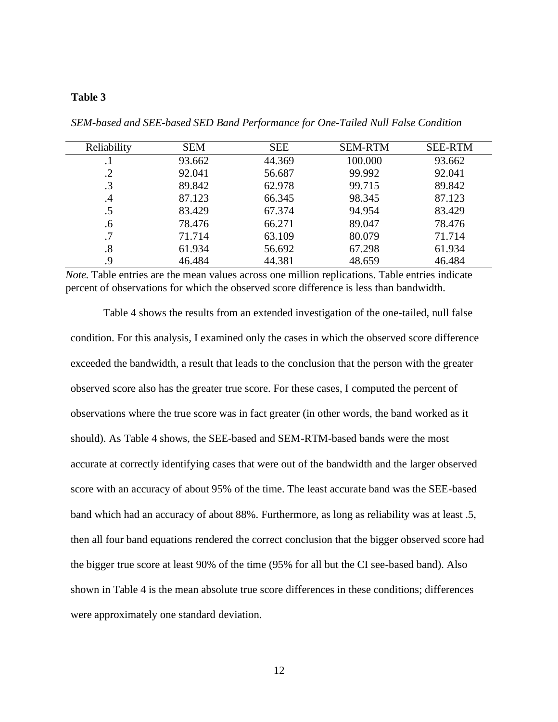| Reliability | <b>SEM</b> | <b>SEE</b> | <b>SEM-RTM</b> | <b>SEE-RTM</b> |
|-------------|------------|------------|----------------|----------------|
| $\cdot$     | 93.662     | 44.369     | 100.000        | 93.662         |
| $\cdot$ .2  | 92.041     | 56.687     | 99.992         | 92.041         |
| $\cdot$ 3   | 89.842     | 62.978     | 99.715         | 89.842         |
| $\cdot$     | 87.123     | 66.345     | 98.345         | 87.123         |
| .5          | 83.429     | 67.374     | 94.954         | 83.429         |
| .6          | 78.476     | 66.271     | 89.047         | 78.476         |
| .7          | 71.714     | 63.109     | 80.079         | 71.714         |
| .8          | 61.934     | 56.692     | 67.298         | 61.934         |
| 9.          | 46.484     | 44.381     | 48.659         | 46.484         |

*SEM-based and SEE-based SED Band Performance for One-Tailed Null False Condition*

*Note.* Table entries are the mean values across one million replications. Table entries indicate percent of observations for which the observed score difference is less than bandwidth.

Table 4 shows the results from an extended investigation of the one-tailed, null false condition. For this analysis, I examined only the cases in which the observed score difference exceeded the bandwidth, a result that leads to the conclusion that the person with the greater observed score also has the greater true score. For these cases, I computed the percent of observations where the true score was in fact greater (in other words, the band worked as it should). As Table 4 shows, the SEE-based and SEM-RTM-based bands were the most accurate at correctly identifying cases that were out of the bandwidth and the larger observed score with an accuracy of about 95% of the time. The least accurate band was the SEE-based band which had an accuracy of about 88%. Furthermore, as long as reliability was at least .5, then all four band equations rendered the correct conclusion that the bigger observed score had the bigger true score at least 90% of the time (95% for all but the CI see-based band). Also shown in Table 4 is the mean absolute true score differences in these conditions; differences were approximately one standard deviation.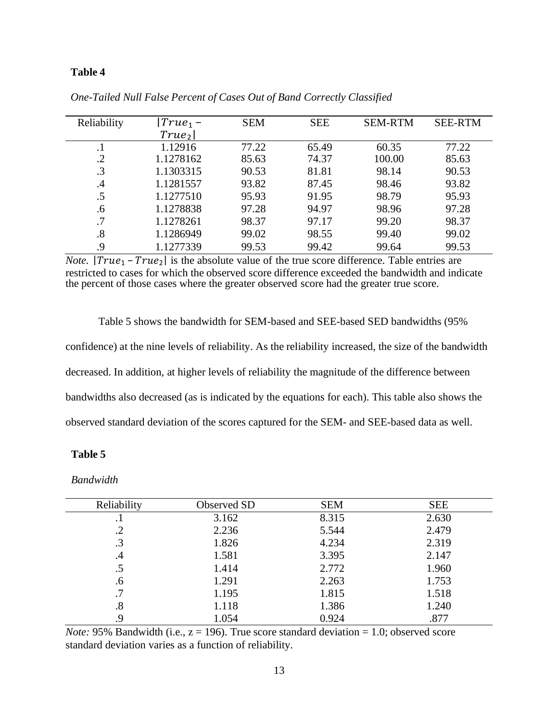| Reliability | $ True_1 -$       | <b>SEM</b> | <b>SEE</b> | <b>SEM-RTM</b> | <b>SEE-RTM</b> |
|-------------|-------------------|------------|------------|----------------|----------------|
|             | True <sub>2</sub> |            |            |                |                |
| $\cdot$     | 1.12916           | 77.22      | 65.49      | 60.35          | 77.22          |
| $\cdot$     | 1.1278162         | 85.63      | 74.37      | 100.00         | 85.63          |
| $\cdot$ 3   | 1.1303315         | 90.53      | 81.81      | 98.14          | 90.53          |
| .4          | 1.1281557         | 93.82      | 87.45      | 98.46          | 93.82          |
| $.5\,$      | 1.1277510         | 95.93      | 91.95      | 98.79          | 95.93          |
| .6          | 1.1278838         | 97.28      | 94.97      | 98.96          | 97.28          |
| .7          | 1.1278261         | 98.37      | 97.17      | 99.20          | 98.37          |
| .8          | 1.1286949         | 99.02      | 98.55      | 99.40          | 99.02          |
| 9.          | 1.1277339         | 99.53      | 99.42      | 99.64          | 99.53          |

*One-Tailed Null False Percent of Cases Out of Band Correctly Classified*

*Note.*  $|True_{1} - True_{2}|$  is the absolute value of the true score difference. Table entries are restricted to cases for which the observed score difference exceeded the bandwidth and indicate the percent of those cases where the greater observed score had the greater true score.

Table 5 shows the bandwidth for SEM-based and SEE-based SED bandwidths (95% confidence) at the nine levels of reliability. As the reliability increased, the size of the bandwidth decreased. In addition, at higher levels of reliability the magnitude of the difference between bandwidths also decreased (as is indicated by the equations for each). This table also shows the observed standard deviation of the scores captured for the SEM- and SEE-based data as well.

# **Table 5**

*Bandwidth*

| Reliability | Observed SD | <b>SEM</b> | <b>SEE</b> |
|-------------|-------------|------------|------------|
| . .         | 3.162       | 8.315      | 2.630      |
| .2          | 2.236       | 5.544      | 2.479      |
| $\cdot$ 3   | 1.826       | 4.234      | 2.319      |
| .4          | 1.581       | 3.395      | 2.147      |
| .5          | 1.414       | 2.772      | 1.960      |
| .6          | 1.291       | 2.263      | 1.753      |
| .7          | 1.195       | 1.815      | 1.518      |
| .8          | 1.118       | 1.386      | 1.240      |
| .9          | 1.054       | 0.924      | .877       |

*Note:* 95% Bandwidth (i.e.,  $z = 196$ ). True score standard deviation  $= 1.0$ ; observed score standard deviation varies as a function of reliability.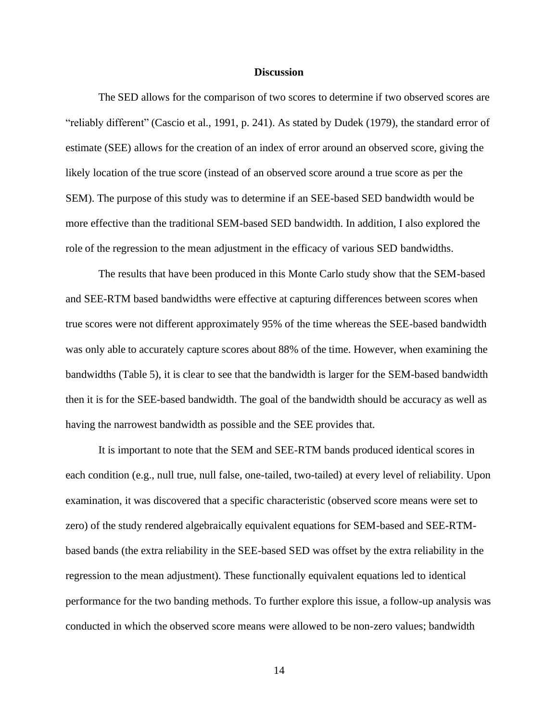#### **Discussion**

<span id="page-21-0"></span>The SED allows for the comparison of two scores to determine if two observed scores are "reliably different" (Cascio et al., 1991, p. 241). As stated by Dudek (1979), the standard error of estimate (SEE) allows for the creation of an index of error around an observed score, giving the likely location of the true score (instead of an observed score around a true score as per the SEM). The purpose of this study was to determine if an SEE-based SED bandwidth would be more effective than the traditional SEM-based SED bandwidth. In addition, I also explored the role of the regression to the mean adjustment in the efficacy of various SED bandwidths.

The results that have been produced in this Monte Carlo study show that the SEM-based and SEE-RTM based bandwidths were effective at capturing differences between scores when true scores were not different approximately 95% of the time whereas the SEE-based bandwidth was only able to accurately capture scores about 88% of the time. However, when examining the bandwidths (Table 5), it is clear to see that the bandwidth is larger for the SEM-based bandwidth then it is for the SEE-based bandwidth. The goal of the bandwidth should be accuracy as well as having the narrowest bandwidth as possible and the SEE provides that.

It is important to note that the SEM and SEE-RTM bands produced identical scores in each condition (e.g., null true, null false, one-tailed, two-tailed) at every level of reliability. Upon examination, it was discovered that a specific characteristic (observed score means were set to zero) of the study rendered algebraically equivalent equations for SEM-based and SEE-RTMbased bands (the extra reliability in the SEE-based SED was offset by the extra reliability in the regression to the mean adjustment). These functionally equivalent equations led to identical performance for the two banding methods. To further explore this issue, a follow-up analysis was conducted in which the observed score means were allowed to be non-zero values; bandwidth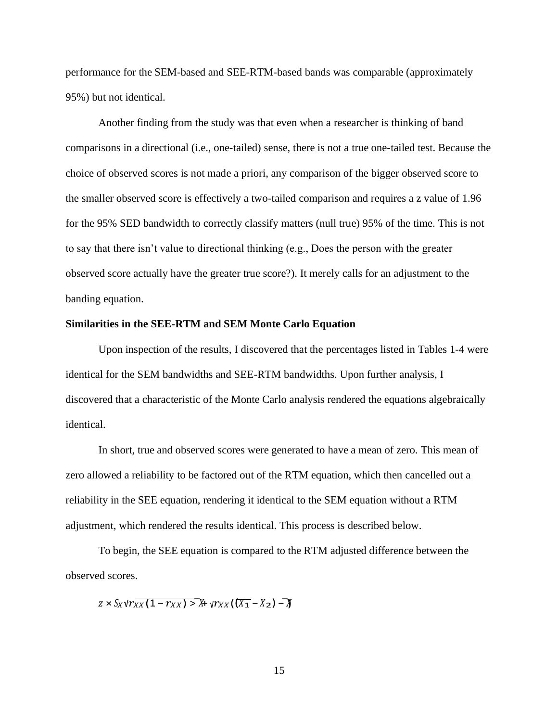performance for the SEM-based and SEE-RTM-based bands was comparable (approximately 95%) but not identical.

Another finding from the study was that even when a researcher is thinking of band comparisons in a directional (i.e., one-tailed) sense, there is not a true one-tailed test. Because the choice of observed scores is not made a priori, any comparison of the bigger observed score to the smaller observed score is effectively a two-tailed comparison and requires a z value of 1.96 for the 95% SED bandwidth to correctly classify matters (null true) 95% of the time. This is not to say that there isn't value to directional thinking (e.g., Does the person with the greater observed score actually have the greater true score?). It merely calls for an adjustment to the banding equation.

# **Similarities in the SEE-RTM and SEM Monte Carlo Equation**

Upon inspection of the results, I discovered that the percentages listed in Tables 1-4 were identical for the SEM bandwidths and SEE-RTM bandwidths. Upon further analysis, I discovered that a characteristic of the Monte Carlo analysis rendered the equations algebraically identical.

In short, true and observed scores were generated to have a mean of zero. This mean of zero allowed a reliability to be factored out of the RTM equation, which then cancelled out a reliability in the SEE equation, rendering it identical to the SEM equation without a RTM adjustment, which rendered the results identical. This process is described below.

To begin, the SEE equation is compared to the RTM adjusted difference between the observed scores.

 $z \times S_X \sqrt{r_{XX}(1 - r_{XX})} > k + \sqrt{r_{XX}(\sqrt{X_1} - X_2)} - k$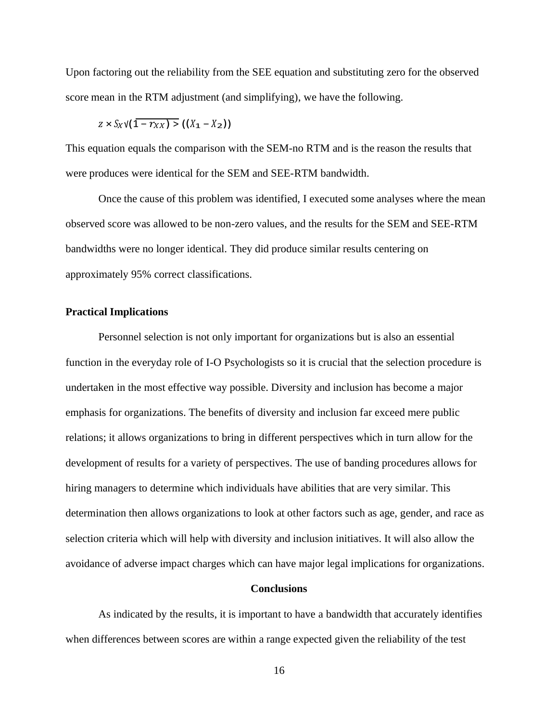Upon factoring out the reliability from the SEE equation and substituting zero for the observed score mean in the RTM adjustment (and simplifying), we have the following.

$$
z \times S_X \vee (1 - r_{XX}) \geq ((X_1 - X_2))
$$

This equation equals the comparison with the SEM-no RTM and is the reason the results that were produces were identical for the SEM and SEE-RTM bandwidth.

Once the cause of this problem was identified, I executed some analyses where the mean observed score was allowed to be non-zero values, and the results for the SEM and SEE-RTM bandwidths were no longer identical. They did produce similar results centering on approximately 95% correct classifications.

#### **Practical Implications**

Personnel selection is not only important for organizations but is also an essential function in the everyday role of I-O Psychologists so it is crucial that the selection procedure is undertaken in the most effective way possible. Diversity and inclusion has become a major emphasis for organizations. The benefits of diversity and inclusion far exceed mere public relations; it allows organizations to bring in different perspectives which in turn allow for the development of results for a variety of perspectives. The use of banding procedures allows for hiring managers to determine which individuals have abilities that are very similar. This determination then allows organizations to look at other factors such as age, gender, and race as selection criteria which will help with diversity and inclusion initiatives. It will also allow the avoidance of adverse impact charges which can have major legal implications for organizations.

#### **Conclusions**

<span id="page-23-0"></span>As indicated by the results, it is important to have a bandwidth that accurately identifies when differences between scores are within a range expected given the reliability of the test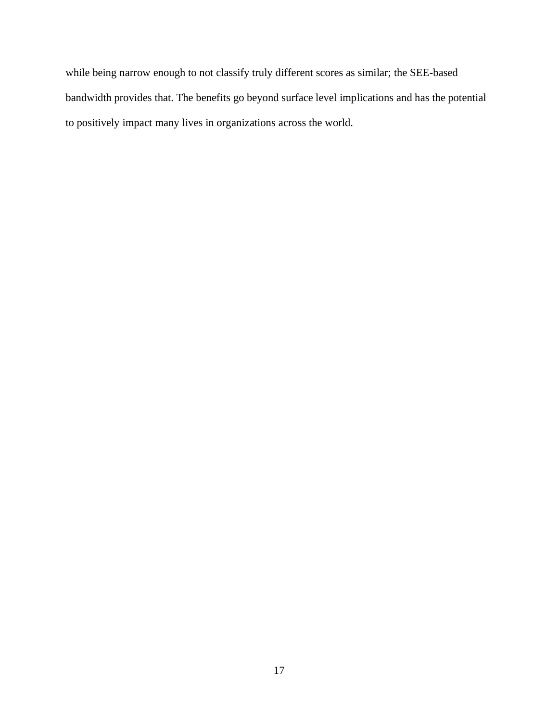while being narrow enough to not classify truly different scores as similar; the SEE-based bandwidth provides that. The benefits go beyond surface level implications and has the potential to positively impact many lives in organizations across the world.